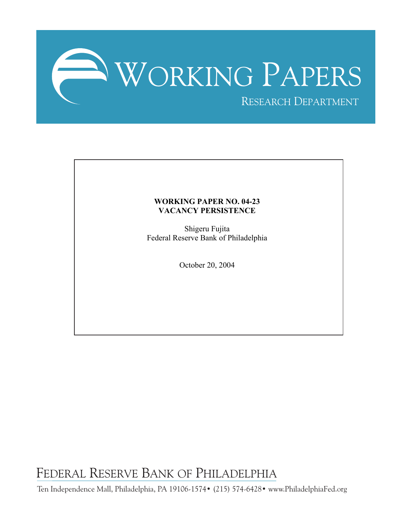

### **WORKING PAPER NO. 04-23 VACANCY PERSISTENCE**

Shigeru Fujita Federal Reserve Bank of Philadelphia

October 20, 2004

FEDERAL RESERVE BANK OF PHILADELPHIA

Ten Independence Mall, Philadelphia, PA 19106-1574• (215) 574-6428• www.PhiladelphiaFed.org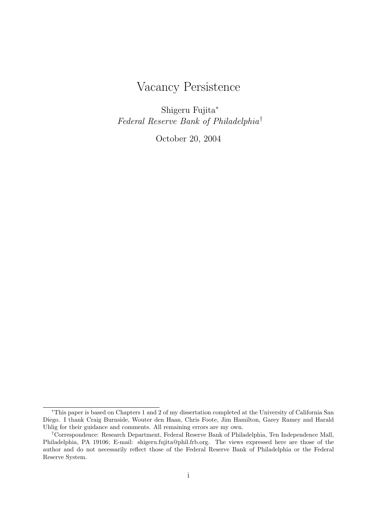# Vacancy Persistence

Shigeru Fujita<sup>∗</sup> Federal Reserve Bank of Philadelphia†

October 20, 2004

<sup>∗</sup>This paper is based on Chapters 1 and 2 of my dissertation completed at the University of California San Diego. I thank Craig Burnside, Wouter den Haan, Chris Foote, Jim Hamilton, Garey Ramey and Harald Uhlig for their guidance and comments. All remaining errors are my own.

<sup>†</sup>Correspondence: Research Department, Federal Reserve Bank of Philadelphia, Ten Independence Mall, Philadelphia, PA 19106; E-mail: shigeru.fujita@phil.frb.org. The views expressed here are those of the author and do not necessarily reflect those of the Federal Reserve Bank of Philadelphia or the Federal Reserve System.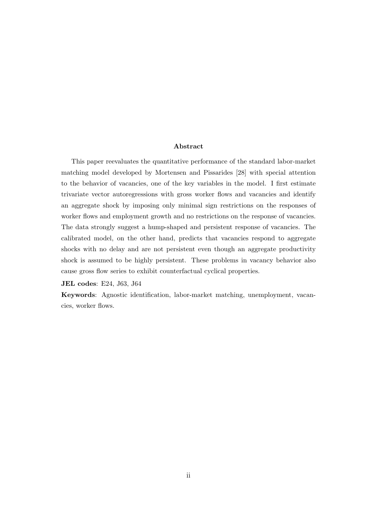#### Abstract

This paper reevaluates the quantitative performance of the standard labor-market matching model developed by Mortensen and Pissarides [28] with special attention to the behavior of vacancies, one of the key variables in the model. I first estimate trivariate vector autoregressions with gross worker flows and vacancies and identify an aggregate shock by imposing only minimal sign restrictions on the responses of worker flows and employment growth and no restrictions on the response of vacancies. The data strongly suggest a hump-shaped and persistent response of vacancies. The calibrated model, on the other hand, predicts that vacancies respond to aggregate shocks with no delay and are not persistent even though an aggregate productivity shock is assumed to be highly persistent. These problems in vacancy behavior also cause gross flow series to exhibit counterfactual cyclical properties.

JEL codes: E24, J63, J64

Keywords: Agnostic identification, labor-market matching, unemployment, vacancies, worker flows.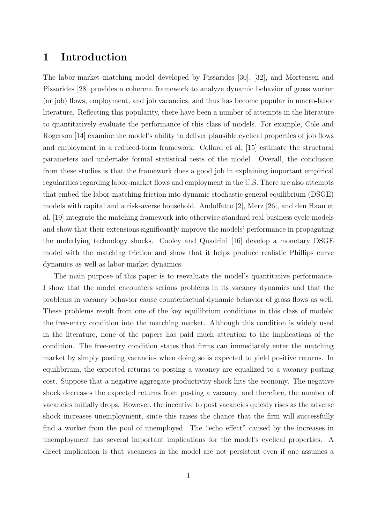## 1 Introduction

The labor-market matching model developed by Pissarides [30], [32], and Mortensen and Pissarides [28] provides a coherent framework to analyze dynamic behavior of gross worker (or job) flows, employment, and job vacancies, and thus has become popular in macro-labor literature. Reflecting this popularity, there have been a number of attempts in the literature to quantitatively evaluate the performance of this class of models. For example, Cole and Rogerson [14] examine the model's ability to deliver plausible cyclical properties of job flows and employment in a reduced-form framework. Collard et al. [15] estimate the structural parameters and undertake formal statistical tests of the model. Overall, the conclusion from these studies is that the framework does a good job in explaining important empirical regularities regarding labor-market flows and employment in the U.S. There are also attempts that embed the labor-matching friction into dynamic stochastic general equilibrium (DSGE) models with capital and a risk-averse household. Andolfatto [2], Merz [26], and den Haan et al. [19] integrate the matching framework into otherwise-standard real business cycle models and show that their extensions significantly improve the models' performance in propagating the underlying technology shocks. Cooley and Quadrini [16] develop a monetary DSGE model with the matching friction and show that it helps produce realistic Phillips curve dynamics as well as labor-market dynamics.

The main purpose of this paper is to reevaluate the model's quantitative performance. I show that the model encounters serious problems in its vacancy dynamics and that the problems in vacancy behavior cause counterfactual dynamic behavior of gross flows as well. These problems result from one of the key equilibrium conditions in this class of models: the free-entry condition into the matching market. Although this condition is widely used in the literature, none of the papers has paid much attention to the implications of the condition. The free-entry condition states that firms can immediately enter the matching market by simply posting vacancies when doing so is expected to yield positive returns. In equilibrium, the expected returns to posting a vacancy are equalized to a vacancy posting cost. Suppose that a negative aggregate productivity shock hits the economy. The negative shock decreases the expected returns from posting a vacancy, and therefore, the number of vacancies initially drops. However, the incentive to post vacancies quickly rises as the adverse shock increases unemployment, since this raises the chance that the firm will successfully find a worker from the pool of unemployed. The "echo effect" caused by the increases in unemployment has several important implications for the model's cyclical properties. A direct implication is that vacancies in the model are not persistent even if one assumes a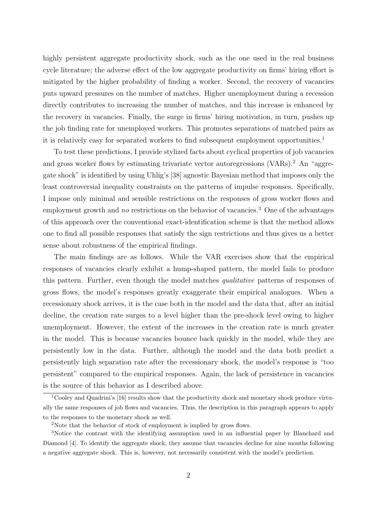highly persistent aggregate productivity shock, such as the one used in the real business cycle literature; the adverse effect of the low aggregate productivity on firms' hiring effort is mitigated by the higher probability of finding a worker. Second, the recovery of vacancies puts upward pressures on the number of matches. Higher unemployment during a recession directly contributes to increasing the number of matches, and this increase is enhanced by the recovery in vacancies. Finally, the surge in firms' hiring motivation, in turn, pushes up the job finding rate for unemployed workers. This promotes separations of matched pairs as it is relatively easy for separated workers to find subsequent employment opportunities.<sup>1</sup>

To test these predictions, I provide stylized facts about cyclical properties of job vacancies and gross worker flows by estimating trivariate vector autoregressions (VARs).<sup>2</sup> An "aggregate shock" is identified by using Uhlig's [38] agnostic Bayesian method that imposes only the least controversial inequality constraints on the patterns of impulse responses. Specifically, I impose only minimal and sensible restrictions on the responses of gross worker flows and employment growth and no restrictions on the behavior of vacancies.<sup>3</sup> One of the advantages of this approach over the conventional exact-identification scheme is that the method allows one to find all possible responses that satisfy the sign restrictions and thus gives us a better sense about robustness of the empirical findings.

The main findings are as follows. While the VAR exercises show that the empirical responses of vacancies clearly exhibit a hump-shaped pattern, the model fails to produce this pattern. Further, even though the model matches *qualitative* patterns of responses of gross flows, the model's responses greatly exaggerate their empirical analogues. When a recessionary shock arrives, it is the case both in the model and the data that, after an initial decline, the creation rate surges to a level higher than the pre-shock level owing to higher unemployment. However, the extent of the increases in the creation rate is much greater in the model. This is because vacancies bounce back quickly in the model, while they are persistently low in the data. Further, although the model and the data both predict a persistently high separation rate after the recessionary shock, the model's response is "too persistent" compared to the empirical responses. Again, the lack of persistence in vacancies is the source of this behavior as I described above.

<sup>&</sup>lt;sup>1</sup>Cooley and Quadrini's [16] results show that the productivity shock and monetary shock produce virtually the same responses of job flows and vacancies. Thus, the description in this paragraph appears to apply to the responses to the monetary shock as well.

<sup>2</sup>Note that the behavior of stock of employment is implied by gross flows.

<sup>&</sup>lt;sup>3</sup>Notice the contrast with the identifying assumption used in an influential paper by Blanchard and Diamond [4]. To identify the aggregate shock, they assume that vacancies decline for nine months following a negative aggregate shock. This is, however, not necessarily consistent with the model's prediction.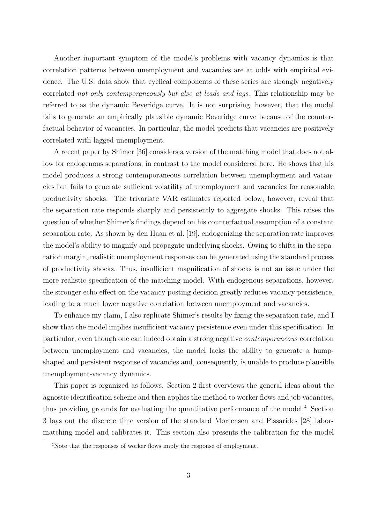Another important symptom of the model's problems with vacancy dynamics is that correlation patterns between unemployment and vacancies are at odds with empirical evidence. The U.S. data show that cyclical components of these series are strongly negatively correlated not only contemporaneously but also at leads and lags. This relationship may be referred to as the dynamic Beveridge curve. It is not surprising, however, that the model fails to generate an empirically plausible dynamic Beveridge curve because of the counterfactual behavior of vacancies. In particular, the model predicts that vacancies are positively correlated with lagged unemployment.

A recent paper by Shimer [36] considers a version of the matching model that does not allow for endogenous separations, in contrast to the model considered here. He shows that his model produces a strong contemporaneous correlation between unemployment and vacancies but fails to generate sufficient volatility of unemployment and vacancies for reasonable productivity shocks. The trivariate VAR estimates reported below, however, reveal that the separation rate responds sharply and persistently to aggregate shocks. This raises the question of whether Shimer's findings depend on his counterfactual assumption of a constant separation rate. As shown by den Haan et al. [19], endogenizing the separation rate improves the model's ability to magnify and propagate underlying shocks. Owing to shifts in the separation margin, realistic unemployment responses can be generated using the standard process of productivity shocks. Thus, insufficient magnification of shocks is not an issue under the more realistic specification of the matching model. With endogenous separations, however, the stronger echo effect on the vacancy posting decision greatly reduces vacancy persistence, leading to a much lower negative correlation between unemployment and vacancies.

To enhance my claim, I also replicate Shimer's results by fixing the separation rate, and I show that the model implies insufficient vacancy persistence even under this specification. In particular, even though one can indeed obtain a strong negative contemporaneous correlation between unemployment and vacancies, the model lacks the ability to generate a humpshaped and persistent response of vacancies and, consequently, is unable to produce plausible unemployment-vacancy dynamics.

This paper is organized as follows. Section 2 first overviews the general ideas about the agnostic identification scheme and then applies the method to worker flows and job vacancies, thus providing grounds for evaluating the quantitative performance of the model.<sup>4</sup> Section 3 lays out the discrete time version of the standard Mortensen and Pissarides [28] labormatching model and calibrates it. This section also presents the calibration for the model

<sup>&</sup>lt;sup>4</sup>Note that the responses of worker flows imply the response of employment.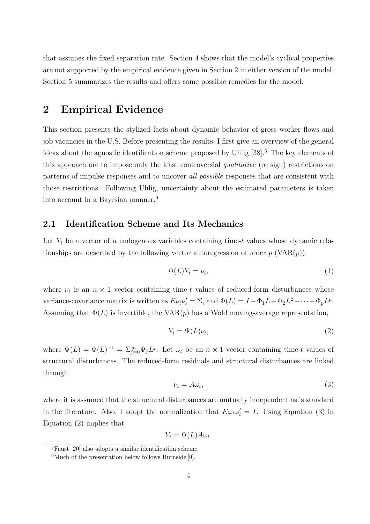that assumes the fixed separation rate. Section 4 shows that the model's cyclical properties are not supported by the empirical evidence given in Section 2 in either version of the model. Section 5 summarizes the results and offers some possible remedies for the model.

# 2 Empirical Evidence

This section presents the stylized facts about dynamic behavior of gross worker flows and job vacancies in the U.S. Before presenting the results, I first give an overview of the general ideas about the agnostic identification scheme proposed by Uhlig [38].<sup>5</sup> The key elements of this approach are to impose only the least controversial qualitative (or sign) restrictions on patterns of impulse responses and to uncover all possible responses that are consistent with those restrictions. Following Uhlig, uncertainty about the estimated parameters is taken into account in a Bayesian manner.<sup>6</sup>

#### 2.1 Identification Scheme and Its Mechanics

Let  $Y_t$  be a vector of n endogenous variables containing time-t values whose dynamic relationships are described by the following vector autoregression of order  $p(\text{VAR}(p))$ :

$$
\Phi(L)Y_t = \nu_t,\tag{1}
$$

where  $\nu_t$  is an  $n \times 1$  vector containing time-t values of reduced-form disturbances whose variance-covariance matrix is written as  $E \nu_t \nu'_t = \Sigma$ , and  $\Phi(L) = I - \Phi_1 L - \Phi_2 L^2 - \cdots - \Phi_p L^p$ . Assuming that  $\Phi(L)$  is invertible, the VAR $(p)$  has a Wold moving-average representation,

$$
Y_t = \Psi(L)\nu_t,\tag{2}
$$

where  $\Psi(L) = \Phi(L)^{-1} = \sum_{j=0}^{\infty} \Psi_j L^j$ . Let  $\omega_t$  be an  $n \times 1$  vector containing time-t values of structural disturbances. The reduced-form residuals and structural disturbances are linked through

$$
\nu_t = A\omega_t,\tag{3}
$$

where it is assumed that the structural disturbances are mutually independent as is standard in the literature. Also, I adopt the normalization that  $E\omega_t\omega'_t = I$ . Using Equation (3) in Equation (2) implies that

$$
Y_t = \Psi(L) A \omega_t.
$$

 ${}^{5}$ Faust [20] also adopts a similar identification scheme.

 ${}^{6}$ Much of the presentation below follows Burnside [9].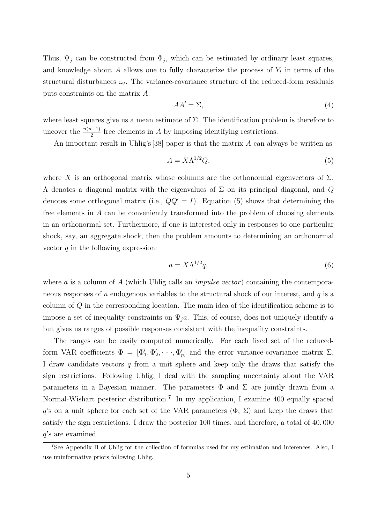Thus,  $\Psi_j$  can be constructed from  $\Phi_j$ , which can be estimated by ordinary least squares, and knowledge about A allows one to fully characterize the process of  $Y_t$  in terms of the structural disturbances  $\omega_t$ . The variance-covariance structure of the reduced-form residuals puts constraints on the matrix A:

$$
AA' = \Sigma,\tag{4}
$$

where least squares give us a mean estimate of  $\Sigma$ . The identification problem is therefore to uncover the  $\frac{n(n-1)}{2}$  free elements in A by imposing identifying restrictions.

An important result in Uhlig's [38] paper is that the matrix  $A$  can always be written as

$$
A = X\Lambda^{1/2}Q,\tag{5}
$$

where X is an orthogonal matrix whose columns are the orthonormal eigenvectors of  $\Sigma$ ,  $Λ$  denotes a diagonal matrix with the eigenvalues of Σ on its principal diagonal, and  $Q$ denotes some orthogonal matrix (i.e.,  $QQ' = I$ ). Equation (5) shows that determining the free elements in A can be conveniently transformed into the problem of choosing elements in an orthonormal set. Furthermore, if one is interested only in responses to one particular shock, say, an aggregate shock, then the problem amounts to determining an orthonormal vector  $q$  in the following expression:

$$
a = X\Lambda^{1/2}q,\tag{6}
$$

where a is a column of A (which Uhlig calls an *impulse vector*) containing the contemporaneous responses of n endogenous variables to the structural shock of our interest, and  $q$  is a column of Q in the corresponding location. The main idea of the identification scheme is to impose a set of inequality constraints on  $\Psi_i a$ . This, of course, does not uniquely identify a but gives us ranges of possible responses consistent with the inequality constraints.

The ranges can be easily computed numerically. For each fixed set of the reducedform VAR coefficients  $\Phi = [\Phi'_1, \Phi'_2, \cdots, \Phi'_p]$  and the error variance-covariance matrix  $\Sigma$ , I draw candidate vectors q from a unit sphere and keep only the draws that satisfy the sign restrictions. Following Uhlig, I deal with the sampling uncertainty about the VAR parameters in a Bayesian manner. The parameters  $\Phi$  and  $\Sigma$  are jointly drawn from a Normal-Wishart posterior distribution.<sup>7</sup> In my application, I examine 400 equally spaced q's on a unit sphere for each set of the VAR parameters  $(\Phi, \Sigma)$  and keep the draws that satisfy the sign restrictions. I draw the posterior 100 times, and therefore, a total of 40, 000 q's are examined.

<sup>7</sup>See Appendix B of Uhlig for the collection of formulas used for my estimation and inferences. Also, I use uninformative priors following Uhlig.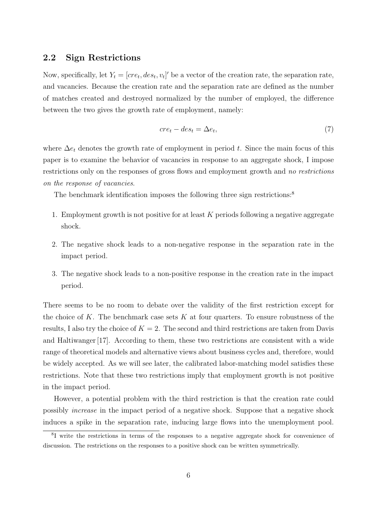### 2.2 Sign Restrictions

Now, specifically, let  $Y_t = [cre_t, des_t, v_t]'$  be a vector of the creation rate, the separation rate, and vacancies. Because the creation rate and the separation rate are defined as the number of matches created and destroyed normalized by the number of employed, the difference between the two gives the growth rate of employment, namely:

$$
cre_t - des_t = \Delta e_t,\tag{7}
$$

where  $\Delta e_t$  denotes the growth rate of employment in period t. Since the main focus of this paper is to examine the behavior of vacancies in response to an aggregate shock, I impose restrictions only on the responses of gross flows and employment growth and no restrictions on the response of vacancies.

The benchmark identification imposes the following three sign restrictions:<sup>8</sup>

- 1. Employment growth is not positive for at least  $K$  periods following a negative aggregate shock.
- 2. The negative shock leads to a non-negative response in the separation rate in the impact period.
- 3. The negative shock leads to a non-positive response in the creation rate in the impact period.

There seems to be no room to debate over the validity of the first restriction except for the choice of K. The benchmark case sets K at four quarters. To ensure robustness of the results, I also try the choice of  $K = 2$ . The second and third restrictions are taken from Davis and Haltiwanger [17]. According to them, these two restrictions are consistent with a wide range of theoretical models and alternative views about business cycles and, therefore, would be widely accepted. As we will see later, the calibrated labor-matching model satisfies these restrictions. Note that these two restrictions imply that employment growth is not positive in the impact period.

However, a potential problem with the third restriction is that the creation rate could possibly increase in the impact period of a negative shock. Suppose that a negative shock induces a spike in the separation rate, inducing large flows into the unemployment pool.

<sup>&</sup>lt;sup>8</sup>I write the restrictions in terms of the responses to a negative aggregate shock for convenience of discussion. The restrictions on the responses to a positive shock can be written symmetrically.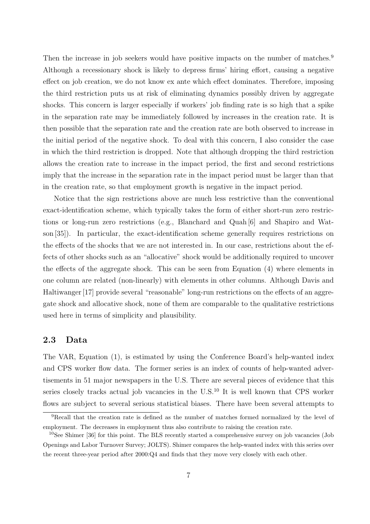Then the increase in job seekers would have positive impacts on the number of matches.<sup>9</sup> Although a recessionary shock is likely to depress firms' hiring effort, causing a negative effect on job creation, we do not know ex ante which effect dominates. Therefore, imposing the third restriction puts us at risk of eliminating dynamics possibly driven by aggregate shocks. This concern is larger especially if workers' job finding rate is so high that a spike in the separation rate may be immediately followed by increases in the creation rate. It is then possible that the separation rate and the creation rate are both observed to increase in the initial period of the negative shock. To deal with this concern, I also consider the case in which the third restriction is dropped. Note that although dropping the third restriction allows the creation rate to increase in the impact period, the first and second restrictions imply that the increase in the separation rate in the impact period must be larger than that in the creation rate, so that employment growth is negative in the impact period.

Notice that the sign restrictions above are much less restrictive than the conventional exact-identification scheme, which typically takes the form of either short-run zero restrictions or long-run zero restrictions (e.g., Blanchard and Quah [6] and Shapiro and Watson [35]). In particular, the exact-identification scheme generally requires restrictions on the effects of the shocks that we are not interested in. In our case, restrictions about the effects of other shocks such as an "allocative" shock would be additionally required to uncover the effects of the aggregate shock. This can be seen from Equation (4) where elements in one column are related (non-linearly) with elements in other columns. Although Davis and Haltiwanger [17] provide several "reasonable" long-run restrictions on the effects of an aggregate shock and allocative shock, none of them are comparable to the qualitative restrictions used here in terms of simplicity and plausibility.

## 2.3 Data

The VAR, Equation (1), is estimated by using the Conference Board's help-wanted index and CPS worker flow data. The former series is an index of counts of help-wanted advertisements in 51 major newspapers in the U.S. There are several pieces of evidence that this series closely tracks actual job vacancies in the U.S.<sup>10</sup> It is well known that CPS worker flows are subject to several serious statistical biases. There have been several attempts to

<sup>9</sup>Recall that the creation rate is defined as the number of matches formed normalized by the level of employment. The decreases in employment thus also contribute to raising the creation rate.

 $10$ See Shimer [36] for this point. The BLS recently started a comprehensive survey on job vacancies (Job Openings and Labor Turnover Survey; JOLTS). Shimer compares the help-wanted index with this series over the recent three-year period after 2000:Q4 and finds that they move very closely with each other.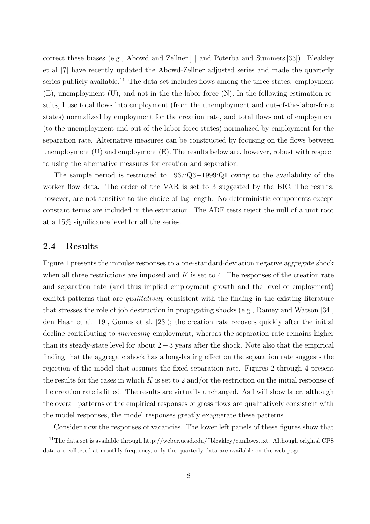correct these biases (e.g., Abowd and Zellner [1] and Poterba and Summers [33]). Bleakley et al. [7] have recently updated the Abowd-Zellner adjusted series and made the quarterly series publicly available.<sup>11</sup> The data set includes flows among the three states: employment (E), unemployment (U), and not in the the labor force (N). In the following estimation results, I use total flows into employment (from the unemployment and out-of-the-labor-force states) normalized by employment for the creation rate, and total flows out of employment (to the unemployment and out-of-the-labor-force states) normalized by employment for the separation rate. Alternative measures can be constructed by focusing on the flows between unemployment  $(U)$  and employment  $(E)$ . The results below are, however, robust with respect to using the alternative measures for creation and separation.

The sample period is restricted to 1967:Q3–1999:Q1 owing to the availability of the worker flow data. The order of the VAR is set to 3 suggested by the BIC. The results, however, are not sensitive to the choice of lag length. No deterministic components except constant terms are included in the estimation. The ADF tests reject the null of a unit root at a 15% significance level for all the series.

#### 2.4 Results

Figure 1 presents the impulse responses to a one-standard-deviation negative aggregate shock when all three restrictions are imposed and  $K$  is set to 4. The responses of the creation rate and separation rate (and thus implied employment growth and the level of employment) exhibit patterns that are *qualitatively* consistent with the finding in the existing literature that stresses the role of job destruction in propagating shocks (e.g., Ramey and Watson [34], den Haan et al. [19], Gomes et al. [23]); the creation rate recovers quickly after the initial decline contributing to *increasing* employment, whereas the separation rate remains higher than its steady-state level for about  $2-3$  years after the shock. Note also that the empirical finding that the aggregate shock has a long-lasting effect on the separation rate suggests the rejection of the model that assumes the fixed separation rate. Figures 2 through 4 present the results for the cases in which  $K$  is set to 2 and/or the restriction on the initial response of the creation rate is lifted. The results are virtually unchanged. As I will show later, although the overall patterns of the empirical responses of gross flows are qualitatively consistent with the model responses, the model responses greatly exaggerate these patterns.

Consider now the responses of vacancies. The lower left panels of these figures show that

<sup>11</sup>The data set is available through http://weber.ucsd.edu/˜bleakley/eunflows.txt. Although original CPS data are collected at monthly frequency, only the quarterly data are available on the web page.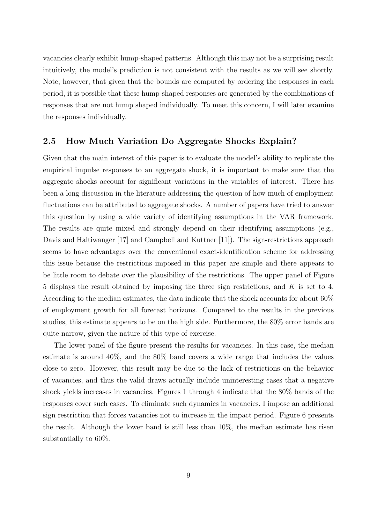vacancies clearly exhibit hump-shaped patterns. Although this may not be a surprising result intuitively, the model's prediction is not consistent with the results as we will see shortly. Note, however, that given that the bounds are computed by ordering the responses in each period, it is possible that these hump-shaped responses are generated by the combinations of responses that are not hump shaped individually. To meet this concern, I will later examine the responses individually.

#### 2.5 How Much Variation Do Aggregate Shocks Explain?

Given that the main interest of this paper is to evaluate the model's ability to replicate the empirical impulse responses to an aggregate shock, it is important to make sure that the aggregate shocks account for significant variations in the variables of interest. There has been a long discussion in the literature addressing the question of how much of employment fluctuations can be attributed to aggregate shocks. A number of papers have tried to answer this question by using a wide variety of identifying assumptions in the VAR framework. The results are quite mixed and strongly depend on their identifying assumptions (e.g., Davis and Haltiwanger [17] and Campbell and Kuttner [11]). The sign-restrictions approach seems to have advantages over the conventional exact-identification scheme for addressing this issue because the restrictions imposed in this paper are simple and there appears to be little room to debate over the plausibility of the restrictions. The upper panel of Figure 5 displays the result obtained by imposing the three sign restrictions, and K is set to 4. According to the median estimates, the data indicate that the shock accounts for about 60% of employment growth for all forecast horizons. Compared to the results in the previous studies, this estimate appears to be on the high side. Furthermore, the 80% error bands are quite narrow, given the nature of this type of exercise.

The lower panel of the figure present the results for vacancies. In this case, the median estimate is around 40%, and the 80% band covers a wide range that includes the values close to zero. However, this result may be due to the lack of restrictions on the behavior of vacancies, and thus the valid draws actually include uninteresting cases that a negative shock yields increases in vacancies. Figures 1 through 4 indicate that the 80% bands of the responses cover such cases. To eliminate such dynamics in vacancies, I impose an additional sign restriction that forces vacancies not to increase in the impact period. Figure 6 presents the result. Although the lower band is still less than 10%, the median estimate has risen substantially to 60%.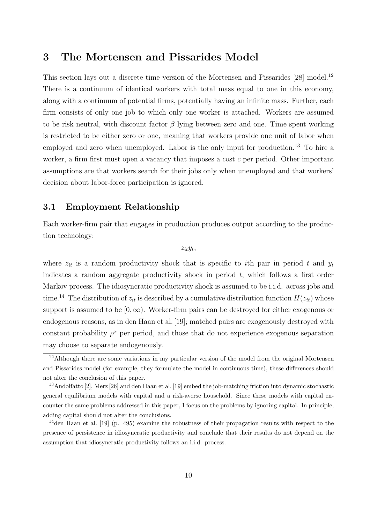## 3 The Mortensen and Pissarides Model

This section lays out a discrete time version of the Mortensen and Pissarides [28] model.<sup>12</sup> There is a continuum of identical workers with total mass equal to one in this economy, along with a continuum of potential firms, potentially having an infinite mass. Further, each firm consists of only one job to which only one worker is attached. Workers are assumed to be risk neutral, with discount factor  $\beta$  lying between zero and one. Time spent working is restricted to be either zero or one, meaning that workers provide one unit of labor when employed and zero when unemployed. Labor is the only input for production.<sup>13</sup> To hire a worker, a firm first must open a vacancy that imposes a cost c per period. Other important assumptions are that workers search for their jobs only when unemployed and that workers' decision about labor-force participation is ignored.

### 3.1 Employment Relationship

Each worker-firm pair that engages in production produces output according to the production technology:

 $z_{it}y_t$ 

where  $z_{it}$  is a random productivity shock that is specific to ith pair in period t and  $y_t$ indicates a random aggregate productivity shock in period  $t$ , which follows a first order Markov process. The idiosyncratic productivity shock is assumed to be i.i.d. across jobs and time.<sup>14</sup> The distribution of  $z_{it}$  is described by a cumulative distribution function  $H(z_{it})$  whose support is assumed to be  $[0,\infty)$ . Worker-firm pairs can be destroyed for either exogenous or endogenous reasons, as in den Haan et al. [19]; matched pairs are exogenously destroyed with constant probability  $\rho^x$  per period, and those that do not experience exogenous separation may choose to separate endogenously.

<sup>&</sup>lt;sup>12</sup>Although there are some variations in my particular version of the model from the original Mortensen and Pissarides model (for example, they formulate the model in continuous time), these differences should not alter the conclusion of this paper.

<sup>13</sup>Andolfatto [2], Merz [26] and den Haan et al. [19] embed the job-matching friction into dynamic stochastic general equilibrium models with capital and a risk-averse household. Since these models with capital encounter the same problems addressed in this paper, I focus on the problems by ignoring capital. In principle, adding capital should not alter the conclusions.

<sup>14</sup>den Haan et al. [19] (p. 495) examine the robustness of their propagation results with respect to the presence of persistence in idiosyncratic productivity and conclude that their results do not depend on the assumption that idiosyncratic productivity follows an i.i.d. process.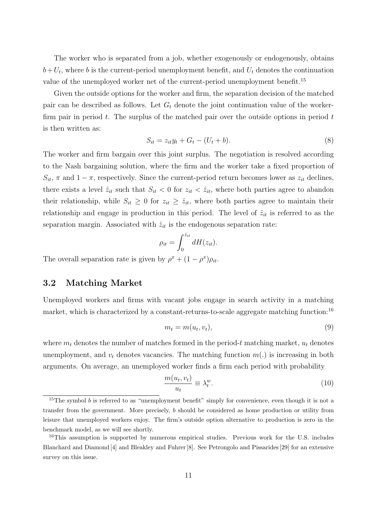The worker who is separated from a job, whether exogenously or endogenously, obtains  $b+U_t$ , where b is the current-period unemployment benefit, and  $U_t$  denotes the continuation value of the unemployed worker net of the current-period unemployment benefit.<sup>15</sup>

Given the outside options for the worker and firm, the separation decision of the matched pair can be described as follows. Let  $G_t$  denote the joint continuation value of the workerfirm pair in period  $t$ . The surplus of the matched pair over the outside options in period  $t$ is then written as:

$$
S_{it} = z_{it}y_t + G_t - (U_t + b). \tag{8}
$$

The worker and firm bargain over this joint surplus. The negotiation is resolved according to the Nash bargaining solution, where the firm and the worker take a fixed proportion of  $S_{it}$ ,  $\pi$  and  $1 - \pi$ , respectively. Since the current-period return becomes lower as  $z_{it}$  declines, there exists a level  $\hat{z}_{it}$  such that  $S_{it} < 0$  for  $z_{it} < \hat{z}_{it}$ , where both parties agree to abandon their relationship, while  $S_{it} \geq 0$  for  $z_{it} \geq \hat{z}_{it}$ , where both parties agree to maintain their relationship and engage in production in this period. The level of  $\hat{z}_{it}$  is referred to as the separation margin. Associated with  $\hat{z}_{it}$  is the endogenous separation rate:

$$
\rho_{it} = \int_0^{\hat{z}_{it}} dH(z_{it}).
$$

The overall separation rate is given by  $\rho^x + (1 - \rho^x)\rho_{it}$ .

#### 3.2 Matching Market

Unemployed workers and firms with vacant jobs engage in search activity in a matching market, which is characterized by a constant-returns-to-scale aggregate matching function:<sup>16</sup>

$$
m_t = m(u_t, v_t), \tag{9}
$$

where  $m_t$  denotes the number of matches formed in the period-t matching market,  $u_t$  denotes unemployment, and  $v_t$  denotes vacancies. The matching function  $m(.)$  is increasing in both arguments. On average, an unemployed worker finds a firm each period with probability

$$
\frac{m(u_t, v_t)}{u_t} \equiv \lambda_t^w.
$$
\n(10)

<sup>&</sup>lt;sup>15</sup>The symbol b is referred to as "unemployment benefit" simply for convenience, even though it is not a transfer from the government. More precisely, b should be considered as home production or utility from leisure that unemployed workers enjoy. The firm's outside option alternative to production is zero in the benchmark model, as we will see shortly.

<sup>&</sup>lt;sup>16</sup>This assumption is supported by numerous empirical studies. Previous work for the U.S. includes Blanchard and Diamond [4] and Bleakley and Fuhrer [8]. See Petrongolo and Pissarides [29] for an extensive survey on this issue.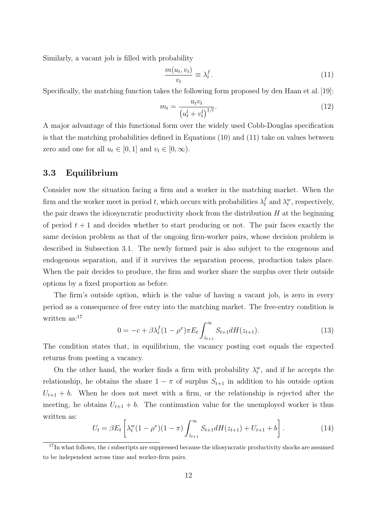Similarly, a vacant job is filled with probability

$$
\frac{m(u_t, v_t)}{v_t} \equiv \lambda_t^f. \tag{11}
$$

Specifically, the matching function takes the following form proposed by den Haan et al. [19]:

$$
m_t = \frac{u_t v_t}{\left(u_t^l + v_t^l\right)^{1/l}}.\tag{12}
$$

A major advantage of this functional form over the widely used Cobb-Douglas specification is that the matching probabilities defined in Equations (10) and (11) take on values between zero and one for all  $u_t \in [0,1]$  and  $v_t \in [0,\infty)$ .

#### 3.3 Equilibrium

Consider now the situation facing a firm and a worker in the matching market. When the firm and the worker meet in period t, which occurs with probabilities  $\lambda_t^f$  and  $\lambda_t^w$ , respectively, the pair draws the idiosyncratic productivity shock from the distribution  $H$  at the beginning of period  $t + 1$  and decides whether to start producing or not. The pair faces exactly the same decision problem as that of the ongoing firm-worker pairs, whose decision problem is described in Subsection 3.1. The newly formed pair is also subject to the exogenous and endogenous separation, and if it survives the separation process, production takes place. When the pair decides to produce, the firm and worker share the surplus over their outside options by a fixed proportion as before.

The firm's outside option, which is the value of having a vacant job, is zero in every period as a consequence of free entry into the matching market. The free-entry condition is written as:<sup>17</sup>  $r^{\infty}$ 

$$
0 = -c + \beta \lambda_t^f (1 - \rho^x) \pi E_t \int_{\hat{z}_{t+1}}^{\infty} S_{t+1} dH(z_{t+1}). \tag{13}
$$

The condition states that, in equilibrium, the vacancy posting cost equals the expected returns from posting a vacancy.

On the other hand, the worker finds a firm with probability  $\lambda_t^w$ , and if he accepts the relationship, he obtains the share  $1 - \pi$  of surplus  $S_{t+1}$  in addition to his outside option  $U_{t+1}$  + b. When he does not meet with a firm, or the relationship is rejected after the meeting, he obtains  $U_{t+1} + b$ . The continuation value for the unemployed worker is thus written as: ·  $\overline{r}$  $\overline{a}$ 

$$
U_t = \beta E_t \left[ \lambda_t^w (1 - \rho^x)(1 - \pi) \int_{\hat{z}_{t+1}}^{\infty} S_{t+1} dH(z_{t+1}) + U_{t+1} + b \right]. \tag{14}
$$

 $17$ In what follows, the *i* subscripts are suppressed because the idiosyncratic productivity shocks are assumed to be independent across time and worker-firm pairs.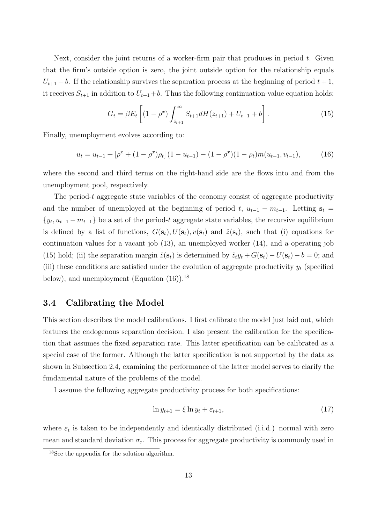Next, consider the joint returns of a worker-firm pair that produces in period  $t$ . Given that the firm's outside option is zero, the joint outside option for the relationship equals  $U_{t+1} + b$ . If the relationship survives the separation process at the beginning of period  $t + 1$ , it receives  $S_{t+1}$  in addition to  $U_{t+1}+b$ . Thus the following continuation-value equation holds:

$$
G_t = \beta E_t \left[ (1 - \rho^x) \int_{\hat{z}_{t+1}}^{\infty} S_{t+1} dH(z_{t+1}) + U_{t+1} + b \right]. \tag{15}
$$

Finally, unemployment evolves according to:

$$
u_t = u_{t-1} + [\rho^x + (1 - \rho^x)\rho_t] (1 - u_{t-1}) - (1 - \rho^x)(1 - \rho_t) m(u_{t-1}, v_{t-1}), \tag{16}
$$

where the second and third terms on the right-hand side are the flows into and from the unemployment pool, respectively.

The period-t aggregate state variables of the economy consist of aggregate productivity and the number of unemployed at the beginning of period t,  $u_{t-1} - m_{t-1}$ . Letting  $s_t =$  $\{y_t, u_{t-1} - m_{t-1}\}\$ be a set of the period-t aggregate state variables, the recursive equilibrium is defined by a list of functions,  $G(\mathbf{s}_t), U(\mathbf{s}_t), v(\mathbf{s}_t)$  and  $\hat{z}(\mathbf{s}_t)$ , such that (i) equations for continuation values for a vacant job (13), an unemployed worker (14), and a operating job (15) hold; (ii) the separation margin  $\hat{z}(\mathbf{s}_t)$  is determined by  $\hat{z}_t y_t + G(\mathbf{s}_t) - U(\mathbf{s}_t) - b = 0$ ; and (iii) these conditions are satisfied under the evolution of aggregate productivity  $y_t$  (specified below), and unemployment (Equation  $(16)$ ).<sup>18</sup>

#### 3.4 Calibrating the Model

This section describes the model calibrations. I first calibrate the model just laid out, which features the endogenous separation decision. I also present the calibration for the specification that assumes the fixed separation rate. This latter specification can be calibrated as a special case of the former. Although the latter specification is not supported by the data as shown in Subsection 2.4, examining the performance of the latter model serves to clarify the fundamental nature of the problems of the model.

I assume the following aggregate productivity process for both specifications:

$$
\ln y_{t+1} = \xi \ln y_t + \varepsilon_{t+1},\tag{17}
$$

where  $\varepsilon_t$  is taken to be independently and identically distributed (i.i.d.) normal with zero mean and standard deviation  $\sigma_{\varepsilon}$ . This process for aggregate productivity is commonly used in

<sup>18</sup>See the appendix for the solution algorithm.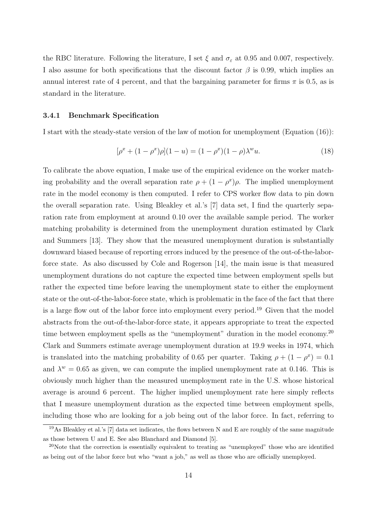the RBC literature. Following the literature, I set  $\xi$  and  $\sigma_{\varepsilon}$  at 0.95 and 0.007, respectively. I also assume for both specifications that the discount factor  $\beta$  is 0.99, which implies an annual interest rate of 4 percent, and that the bargaining parameter for firms  $\pi$  is 0.5, as is standard in the literature.

#### 3.4.1 Benchmark Specification

I start with the steady-state version of the law of motion for unemployment (Equation (16)):

$$
[\rho^x + (1 - \rho^x)\rho](1 - u) = (1 - \rho^x)(1 - \rho)\lambda^w u.
$$
\n(18)

To calibrate the above equation, I make use of the empirical evidence on the worker matching probability and the overall separation rate  $\rho + (1 - \rho^x)\rho$ . The implied unemployment rate in the model economy is then computed. I refer to CPS worker flow data to pin down the overall separation rate. Using Bleakley et al.'s [7] data set, I find the quarterly separation rate from employment at around 0.10 over the available sample period. The worker matching probability is determined from the unemployment duration estimated by Clark and Summers [13]. They show that the measured unemployment duration is substantially downward biased because of reporting errors induced by the presence of the out-of-the-laborforce state. As also discussed by Cole and Rogerson [14], the main issue is that measured unemployment durations do not capture the expected time between employment spells but rather the expected time before leaving the unemployment state to either the employment state or the out-of-the-labor-force state, which is problematic in the face of the fact that there is a large flow out of the labor force into employment every period.<sup>19</sup> Given that the model abstracts from the out-of-the-labor-force state, it appears appropriate to treat the expected time between employment spells as the "unemployment" duration in the model economy.<sup>20</sup> Clark and Summers estimate average unemployment duration at 19.9 weeks in 1974, which is translated into the matching probability of 0.65 per quarter. Taking  $\rho + (1 - \rho^x) = 0.1$ and  $\lambda^w = 0.65$  as given, we can compute the implied unemployment rate at 0.146. This is obviously much higher than the measured unemployment rate in the U.S. whose historical average is around 6 percent. The higher implied unemployment rate here simply reflects that I measure unemployment duration as the expected time between employment spells, including those who are looking for a job being out of the labor force. In fact, referring to

<sup>&</sup>lt;sup>19</sup>As Bleakley et al.'s [7] data set indicates, the flows between N and E are roughly of the same magnitude as those between U and E. See also Blanchard and Diamond [5].

<sup>&</sup>lt;sup>20</sup>Note that the correction is essentially equivalent to treating as "unemployed" those who are identified as being out of the labor force but who "want a job," as well as those who are officially unemployed.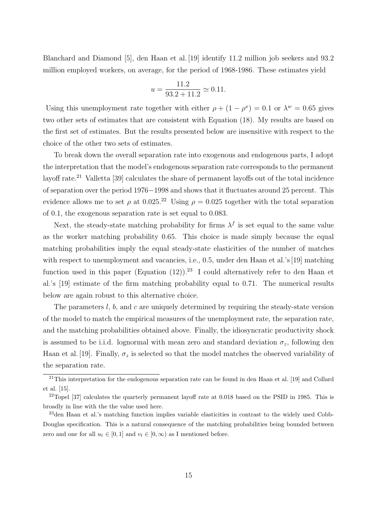Blanchard and Diamond [5], den Haan et al. [19] identify 11.2 million job seekers and 93.2 million employed workers, on average, for the period of 1968-1986. These estimates yield

$$
u = \frac{11.2}{93.2 + 11.2} \simeq 0.11.
$$

Using this unemployment rate together with either  $\rho + (1 - \rho^x) = 0.1$  or  $\lambda^w = 0.65$  gives two other sets of estimates that are consistent with Equation (18). My results are based on the first set of estimates. But the results presented below are insensitive with respect to the choice of the other two sets of estimates.

To break down the overall separation rate into exogenous and endogenous parts, I adopt the interpretation that the model's endogenous separation rate corresponds to the permanent layoff rate.<sup>21</sup> Valletta [39] calculates the share of permanent layoffs out of the total incidence of separation over the period 1976−1998 and shows that it fluctuates around 25 percent. This evidence allows me to set  $\rho$  at 0.025.<sup>22</sup> Using  $\rho = 0.025$  together with the total separation of 0.1, the exogenous separation rate is set equal to 0.083.

Next, the steady-state matching probability for firms  $\lambda^f$  is set equal to the same value as the worker matching probability 0.65. This choice is made simply because the equal matching probabilities imply the equal steady-state elasticities of the number of matches with respect to unemployment and vacancies, i.e., 0.5, under den Haan et al.'s [19] matching function used in this paper (Equation  $(12)$ ).<sup>23</sup> I could alternatively refer to den Haan et al.'s [19] estimate of the firm matching probability equal to 0.71. The numerical results below are again robust to this alternative choice.

The parameters  $l, b$ , and c are uniquely determined by requiring the steady-state version of the model to match the empirical measures of the unemployment rate, the separation rate, and the matching probabilities obtained above. Finally, the idiosyncratic productivity shock is assumed to be i.i.d. lognormal with mean zero and standard deviation  $\sigma_z$ , following den Haan et al. [19]. Finally,  $\sigma_z$  is selected so that the model matches the observed variability of the separation rate.

<sup>&</sup>lt;sup>21</sup>This interpretation for the endogenous separation rate can be found in den Haan et al. [19] and Collard et al. [15].

 $22$ Topel [37] calculates the quarterly permanent layoff rate at 0.018 based on the PSID in 1985. This is broadly in line with the the value used here.

<sup>23</sup>den Haan et al.'s matching function implies variable elasticities in contrast to the widely used Cobb-Douglas specification. This is a natural consequence of the matching probabilities being bounded between zero and one for all  $u_t \in [0, 1]$  and  $v_t \in [0, \infty)$  as I mentioned before.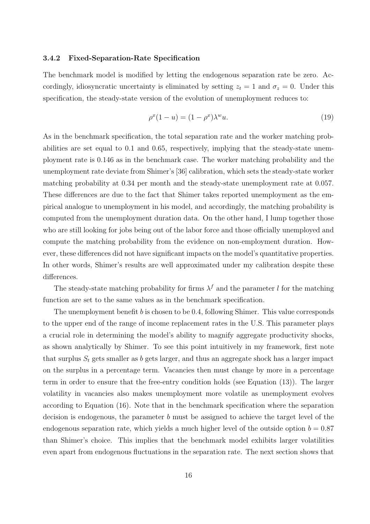#### 3.4.2 Fixed-Separation-Rate Specification

The benchmark model is modified by letting the endogenous separation rate be zero. Accordingly, idiosyncratic uncertainty is eliminated by setting  $z_t = 1$  and  $\sigma_z = 0$ . Under this specification, the steady-state version of the evolution of unemployment reduces to:

$$
\rho^x(1-u) = (1 - \rho^x)\lambda^w u. \tag{19}
$$

As in the benchmark specification, the total separation rate and the worker matching probabilities are set equal to 0.1 and 0.65, respectively, implying that the steady-state unemployment rate is 0.146 as in the benchmark case. The worker matching probability and the unemployment rate deviate from Shimer's [36] calibration, which sets the steady-state worker matching probability at 0.34 per month and the steady-state unemployment rate at 0.057. These differences are due to the fact that Shimer takes reported unemployment as the empirical analogue to unemployment in his model, and accordingly, the matching probability is computed from the unemployment duration data. On the other hand, I lump together those who are still looking for jobs being out of the labor force and those officially unemployed and compute the matching probability from the evidence on non-employment duration. However, these differences did not have significant impacts on the model's quantitative properties. In other words, Shimer's results are well approximated under my calibration despite these differences.

The steady-state matching probability for firms  $\lambda^f$  and the parameter l for the matching function are set to the same values as in the benchmark specification.

The unemployment benefit  $b$  is chosen to be 0.4, following Shimer. This value corresponds to the upper end of the range of income replacement rates in the U.S. This parameter plays a crucial role in determining the model's ability to magnify aggregate productivity shocks, as shown analytically by Shimer. To see this point intuitively in my framework, first note that surplus  $S_t$  gets smaller as b gets larger, and thus an aggregate shock has a larger impact on the surplus in a percentage term. Vacancies then must change by more in a percentage term in order to ensure that the free-entry condition holds (see Equation (13)). The larger volatility in vacancies also makes unemployment more volatile as unemployment evolves according to Equation (16). Note that in the benchmark specification where the separation decision is endogenous, the parameter b must be assigned to achieve the target level of the endogenous separation rate, which yields a much higher level of the outside option  $b = 0.87$ than Shimer's choice. This implies that the benchmark model exhibits larger volatilities even apart from endogenous fluctuations in the separation rate. The next section shows that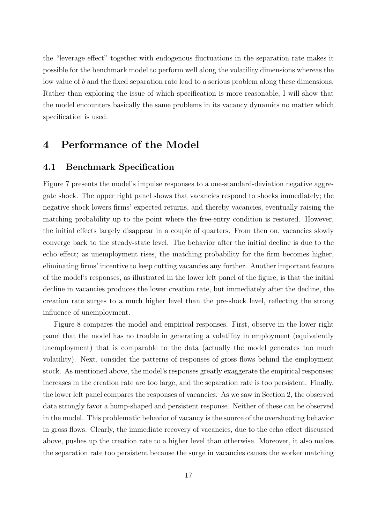the "leverage effect" together with endogenous fluctuations in the separation rate makes it possible for the benchmark model to perform well along the volatility dimensions whereas the low value of b and the fixed separation rate lead to a serious problem along these dimensions. Rather than exploring the issue of which specification is more reasonable, I will show that the model encounters basically the same problems in its vacancy dynamics no matter which specification is used.

# 4 Performance of the Model

## 4.1 Benchmark Specification

Figure 7 presents the model's impulse responses to a one-standard-deviation negative aggregate shock. The upper right panel shows that vacancies respond to shocks immediately; the negative shock lowers firms' expected returns, and thereby vacancies, eventually raising the matching probability up to the point where the free-entry condition is restored. However, the initial effects largely disappear in a couple of quarters. From then on, vacancies slowly converge back to the steady-state level. The behavior after the initial decline is due to the echo effect; as unemployment rises, the matching probability for the firm becomes higher, eliminating firms' incentive to keep cutting vacancies any further. Another important feature of the model's responses, as illustrated in the lower left panel of the figure, is that the initial decline in vacancies produces the lower creation rate, but immediately after the decline, the creation rate surges to a much higher level than the pre-shock level, reflecting the strong influence of unemployment.

Figure 8 compares the model and empirical responses. First, observe in the lower right panel that the model has no trouble in generating a volatility in employment (equivalently unemployment) that is comparable to the data (actually the model generates too much volatility). Next, consider the patterns of responses of gross flows behind the employment stock. As mentioned above, the model's responses greatly exaggerate the empirical responses; increases in the creation rate are too large, and the separation rate is too persistent. Finally, the lower left panel compares the responses of vacancies. As we saw in Section 2, the observed data strongly favor a hump-shaped and persistent response. Neither of these can be observed in the model. This problematic behavior of vacancy is the source of the overshooting behavior in gross flows. Clearly, the immediate recovery of vacancies, due to the echo effect discussed above, pushes up the creation rate to a higher level than otherwise. Moreover, it also makes the separation rate too persistent because the surge in vacancies causes the worker matching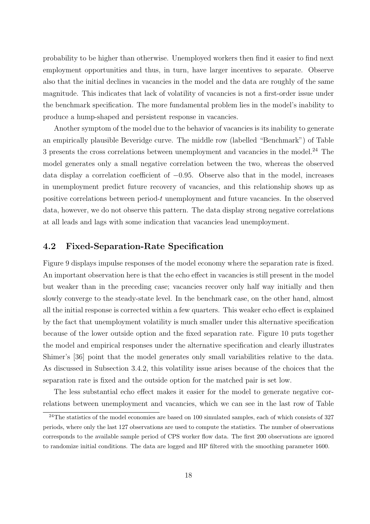probability to be higher than otherwise. Unemployed workers then find it easier to find next employment opportunities and thus, in turn, have larger incentives to separate. Observe also that the initial declines in vacancies in the model and the data are roughly of the same magnitude. This indicates that lack of volatility of vacancies is not a first-order issue under the benchmark specification. The more fundamental problem lies in the model's inability to produce a hump-shaped and persistent response in vacancies.

Another symptom of the model due to the behavior of vacancies is its inability to generate an empirically plausible Beveridge curve. The middle row (labelled "Benchmark") of Table 3 presents the cross correlations between unemployment and vacancies in the model.<sup>24</sup> The model generates only a small negative correlation between the two, whereas the observed data display a correlation coefficient of −0.95. Observe also that in the model, increases in unemployment predict future recovery of vacancies, and this relationship shows up as positive correlations between period-t unemployment and future vacancies. In the observed data, however, we do not observe this pattern. The data display strong negative correlations at all leads and lags with some indication that vacancies lead unemployment.

#### 4.2 Fixed-Separation-Rate Specification

Figure 9 displays impulse responses of the model economy where the separation rate is fixed. An important observation here is that the echo effect in vacancies is still present in the model but weaker than in the preceding case; vacancies recover only half way initially and then slowly converge to the steady-state level. In the benchmark case, on the other hand, almost all the initial response is corrected within a few quarters. This weaker echo effect is explained by the fact that unemployment volatility is much smaller under this alternative specification because of the lower outside option and the fixed separation rate. Figure 10 puts together the model and empirical responses under the alternative specification and clearly illustrates Shimer's [36] point that the model generates only small variabilities relative to the data. As discussed in Subsection 3.4.2, this volatility issue arises because of the choices that the separation rate is fixed and the outside option for the matched pair is set low.

The less substantial echo effect makes it easier for the model to generate negative correlations between unemployment and vacancies, which we can see in the last row of Table

 $^{24}$ The statistics of the model economies are based on 100 simulated samples, each of which consists of 327 periods, where only the last 127 observations are used to compute the statistics. The number of observations corresponds to the available sample period of CPS worker flow data. The first 200 observations are ignored to randomize initial conditions. The data are logged and HP filtered with the smoothing parameter 1600.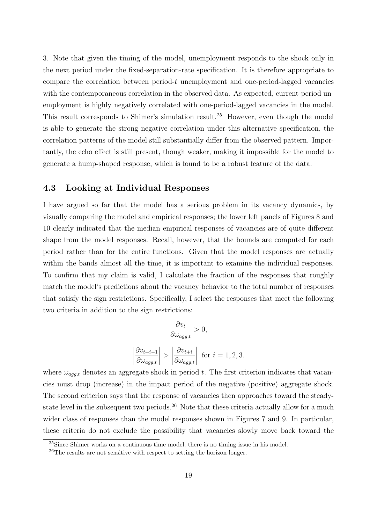3. Note that given the timing of the model, unemployment responds to the shock only in the next period under the fixed-separation-rate specification. It is therefore appropriate to compare the correlation between period-t unemployment and one-period-lagged vacancies with the contemporaneous correlation in the observed data. As expected, current-period unemployment is highly negatively correlated with one-period-lagged vacancies in the model. This result corresponds to Shimer's simulation result.<sup>25</sup> However, even though the model is able to generate the strong negative correlation under this alternative specification, the correlation patterns of the model still substantially differ from the observed pattern. Importantly, the echo effect is still present, though weaker, making it impossible for the model to generate a hump-shaped response, which is found to be a robust feature of the data.

### 4.3 Looking at Individual Responses

I have argued so far that the model has a serious problem in its vacancy dynamics, by visually comparing the model and empirical responses; the lower left panels of Figures 8 and 10 clearly indicated that the median empirical responses of vacancies are of quite different shape from the model responses. Recall, however, that the bounds are computed for each period rather than for the entire functions. Given that the model responses are actually within the bands almost all the time, it is important to examine the individual responses. To confirm that my claim is valid, I calculate the fraction of the responses that roughly match the model's predictions about the vacancy behavior to the total number of responses that satisfy the sign restrictions. Specifically, I select the responses that meet the following two criteria in addition to the sign restrictions:

$$
\frac{\partial v_t}{\partial \omega_{agg,t}} > 0,
$$

$$
\left| \frac{\partial v_{t+i-1}}{\partial \omega_{agg,t}} \right| > \left| \frac{\partial v_{t+i}}{\partial \omega_{agg,t}} \right| \text{ for } i = 1, 2, 3.
$$

where  $\omega_{agg,t}$  denotes an aggregate shock in period t. The first criterion indicates that vacancies must drop (increase) in the impact period of the negative (positive) aggregate shock. The second criterion says that the response of vacancies then approaches toward the steadystate level in the subsequent two periods.<sup>26</sup> Note that these criteria actually allow for a much wider class of responses than the model responses shown in Figures 7 and 9. In particular, these criteria do not exclude the possibility that vacancies slowly move back toward the

<sup>&</sup>lt;sup>25</sup>Since Shimer works on a continuous time model, there is no timing issue in his model.

<sup>26</sup>The results are not sensitive with respect to setting the horizon longer.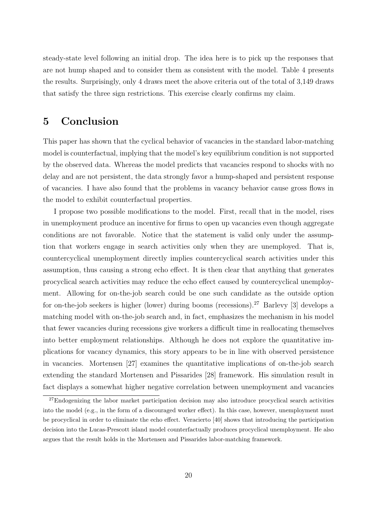steady-state level following an initial drop. The idea here is to pick up the responses that are not hump shaped and to consider them as consistent with the model. Table 4 presents the results. Surprisingly, only 4 draws meet the above criteria out of the total of 3,149 draws that satisfy the three sign restrictions. This exercise clearly confirms my claim.

# 5 Conclusion

This paper has shown that the cyclical behavior of vacancies in the standard labor-matching model is counterfactual, implying that the model's key equilibrium condition is not supported by the observed data. Whereas the model predicts that vacancies respond to shocks with no delay and are not persistent, the data strongly favor a hump-shaped and persistent response of vacancies. I have also found that the problems in vacancy behavior cause gross flows in the model to exhibit counterfactual properties.

I propose two possible modifications to the model. First, recall that in the model, rises in unemployment produce an incentive for firms to open up vacancies even though aggregate conditions are not favorable. Notice that the statement is valid only under the assumption that workers engage in search activities only when they are unemployed. That is, countercyclical unemployment directly implies countercyclical search activities under this assumption, thus causing a strong echo effect. It is then clear that anything that generates procyclical search activities may reduce the echo effect caused by countercyclical unemployment. Allowing for on-the-job search could be one such candidate as the outside option for on-the-job seekers is higher (lower) during booms (recessions).<sup>27</sup> Barlevy [3] develops a matching model with on-the-job search and, in fact, emphasizes the mechanism in his model that fewer vacancies during recessions give workers a difficult time in reallocating themselves into better employment relationships. Although he does not explore the quantitative implications for vacancy dynamics, this story appears to be in line with observed persistence in vacancies. Mortensen [27] examines the quantitative implications of on-the-job search extending the standard Mortensen and Pissarides [28] framework. His simulation result in fact displays a somewhat higher negative correlation between unemployment and vacancies

 $27$ Endogenizing the labor market participation decision may also introduce procyclical search activities into the model (e.g., in the form of a discouraged worker effect). In this case, however, unemployment must be procyclical in order to eliminate the echo effect. Veracierto [40] shows that introducing the participation decision into the Lucas-Prescott island model counterfactually produces procyclical unemployment. He also argues that the result holds in the Mortensen and Pissarides labor-matching framework.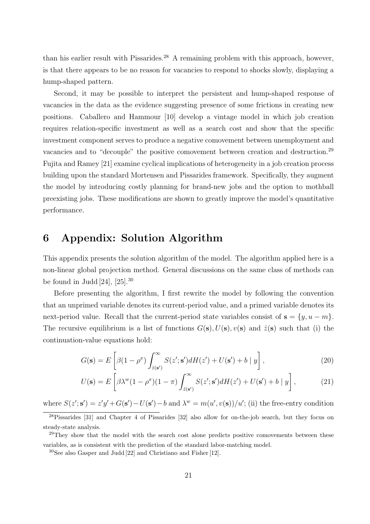than his earlier result with Pissarides.<sup>28</sup> A remaining problem with this approach, however, is that there appears to be no reason for vacancies to respond to shocks slowly, displaying a hump-shaped pattern.

Second, it may be possible to interpret the persistent and hump-shaped response of vacancies in the data as the evidence suggesting presence of some frictions in creating new positions. Caballero and Hammour [10] develop a vintage model in which job creation requires relation-specific investment as well as a search cost and show that the specific investment component serves to produce a negative comovement between unemployment and vacancies and to "decouple" the positive comovement between creation and destruction.<sup>29</sup> Fujita and Ramey [21] examine cyclical implications of heterogeneity in a job creation process building upon the standard Mortensen and Pissarides framework. Specifically, they augment the model by introducing costly planning for brand-new jobs and the option to mothball preexisting jobs. These modifications are shown to greatly improve the model's quantitative performance.

## 6 Appendix: Solution Algorithm

This appendix presents the solution algorithm of the model. The algorithm applied here is a non-linear global projection method. General discussions on the same class of methods can be found in Judd [24],  $[25]$ <sup>30</sup>

Before presenting the algorithm, I first rewrite the model by following the convention that an unprimed variable denotes its current-period value, and a primed variable denotes its next-period value. Recall that the current-period state variables consist of  $\mathbf{s} = \{y, u - m\}$ . The recursive equilibrium is a list of functions  $G(\mathbf{s}), U(\mathbf{s}), v(\mathbf{s})$  and  $\hat{z}(\mathbf{s})$  such that (i) the continuation-value equations hold:

$$
G(\mathbf{s}) = E\left[\beta(1-\rho^x)\int_{\hat{z}(\mathbf{s}')}^{\infty} S(z';\mathbf{s}')dH(z') + U(\mathbf{s}') + b \mid y\right],\tag{20}
$$

$$
U(\mathbf{s}) = E\left[\beta \lambda^w (1 - \rho^x)(1 - \pi) \int_{\hat{z}(\mathbf{s}')}^{\infty} S(z'; \mathbf{s}') dH(z') + U(\mathbf{s}') + b \mid y\right],\tag{21}
$$

where  $S(z'; s') = z'y' + G(s') - U(s') - b$  and  $\lambda^w = m(u', v(s))/u'$ ; (ii) the free-entry condition

<sup>28</sup>Pissarides [31] and Chapter 4 of Pissarides [32] also allow for on-the-job search, but they focus on steady-state analysis.

<sup>&</sup>lt;sup>29</sup>They show that the model with the search cost alone predicts positive comovements between these variables, as is consistent with the prediction of the standard labor-matching model.

<sup>30</sup>See also Gasper and Judd [22] and Christiano and Fisher [12].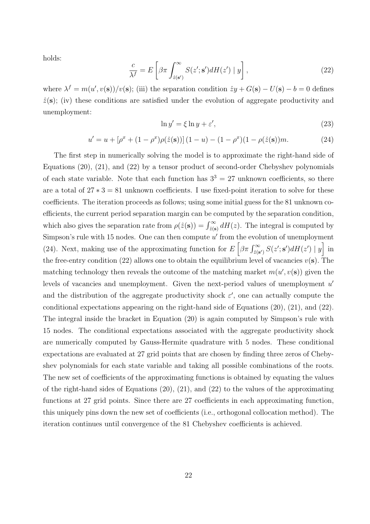holds:

$$
\frac{c}{\lambda^f} = E\left[\beta \pi \int_{\hat{z}(\mathbf{s}')}^{\infty} S(z'; \mathbf{s}') dH(z') \mid y\right],\tag{22}
$$

where  $\lambda^f = m(u', v(\mathbf{s}))/v(\mathbf{s})$ ; (iii) the separation condition  $\hat{z}y + G(\mathbf{s}) - U(\mathbf{s}) - b = 0$  defines  $\hat{z}(\mathbf{s})$ ; (iv) these conditions are satisfied under the evolution of aggregate productivity and unemployment:

$$
\ln y' = \xi \ln y + \varepsilon',\tag{23}
$$

$$
u' = u + [\rho^x + (1 - \rho^x)\rho(\hat{z}(\mathbf{s}))](1 - u) - (1 - \rho^x)(1 - \rho(\hat{z}(\mathbf{s}))m.
$$
 (24)

The first step in numerically solving the model is to approximate the right-hand side of Equations (20), (21), and (22) by a tensor product of second-order Chebyshev polynomials of each state variable. Note that each function has  $3^3 = 27$  unknown coefficients, so there are a total of  $27 * 3 = 81$  unknown coefficients. I use fixed-point iteration to solve for these coefficients. The iteration proceeds as follows; using some initial guess for the 81 unknown coefficients, the current period separation margin can be computed by the separation condition, which also gives the separation rate from  $\rho(\hat{z}(s)) = \int_{\hat{z}(s)}^{\infty} dH(z)$ . The integral is computed by Simpson's rule with 15 nodes. One can then compute  $u'$  from the evolution of unemployment (24). Next, making use of the approximating function for  $E\left[\beta\pi \int_{\hat{z}(\mathbf{s}')}^{\infty} S(z';\mathbf{s}')dH(z') |y\right]$  in the free-entry condition (22) allows one to obtain the equilibrium level of vacancies  $v(s)$ . The matching technology then reveals the outcome of the matching market  $m(u', v(\mathbf{s}))$  given the levels of vacancies and unemployment. Given the next-period values of unemployment  $u'$ and the distribution of the aggregate productivity shock  $\varepsilon'$ , one can actually compute the conditional expectations appearing on the right-hand side of Equations (20), (21), and (22). The integral inside the bracket in Equation (20) is again computed by Simpson's rule with 15 nodes. The conditional expectations associated with the aggregate productivity shock are numerically computed by Gauss-Hermite quadrature with 5 nodes. These conditional expectations are evaluated at 27 grid points that are chosen by finding three zeros of Chebyshev polynomials for each state variable and taking all possible combinations of the roots. The new set of coefficients of the approximating functions is obtained by equating the values of the right-hand sides of Equations (20), (21), and (22) to the values of the approximating functions at 27 grid points. Since there are 27 coefficients in each approximating function, this uniquely pins down the new set of coefficients (i.e., orthogonal collocation method). The iteration continues until convergence of the 81 Chebyshev coefficients is achieved.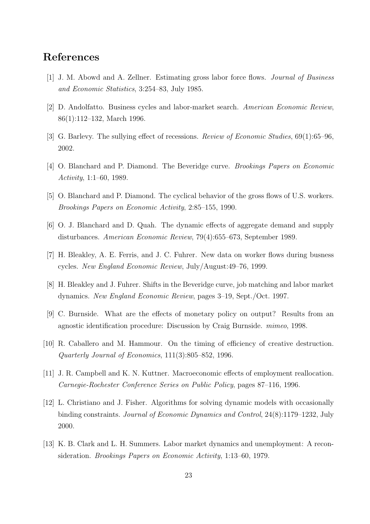# References

- [1] J. M. Abowd and A. Zellner. Estimating gross labor force flows. Journal of Business and Economic Statistics, 3:254–83, July 1985.
- [2] D. Andolfatto. Business cycles and labor-market search. American Economic Review, 86(1):112–132, March 1996.
- [3] G. Barlevy. The sullying effect of recessions. Review of Economic Studies, 69(1):65–96, 2002.
- [4] O. Blanchard and P. Diamond. The Beveridge curve. Brookings Papers on Economic Activity, 1:1–60, 1989.
- [5] O. Blanchard and P. Diamond. The cyclical behavior of the gross flows of U.S. workers. Brookings Papers on Economic Activity, 2:85–155, 1990.
- [6] O. J. Blanchard and D. Quah. The dynamic effects of aggregate demand and supply disturbances. American Economic Review, 79(4):655–673, September 1989.
- [7] H. Bleakley, A. E. Ferris, and J. C. Fuhrer. New data on worker flows during busness cycles. New England Economic Review, July/August:49–76, 1999.
- [8] H. Bleakley and J. Fuhrer. Shifts in the Beveridge curve, job matching and labor market dynamics. New England Economic Review, pages 3–19, Sept./Oct. 1997.
- [9] C. Burnside. What are the effects of monetary policy on output? Results from an agnostic identification procedure: Discussion by Craig Burnside. mimeo, 1998.
- [10] R. Caballero and M. Hammour. On the timing of efficiency of creative destruction. Quarterly Journal of Economics, 111(3):805–852, 1996.
- [11] J. R. Campbell and K. N. Kuttner. Macroeconomic effects of employment reallocation. Carnegie-Rochester Conference Series on Public Policy, pages 87–116, 1996.
- [12] L. Christiano and J. Fisher. Algorithms for solving dynamic models with occasionally binding constraints. Journal of Economic Dynamics and Control, 24(8):1179–1232, July 2000.
- [13] K. B. Clark and L. H. Summers. Labor market dynamics and unemployment: A reconsideration. Brookings Papers on Economic Activity, 1:13–60, 1979.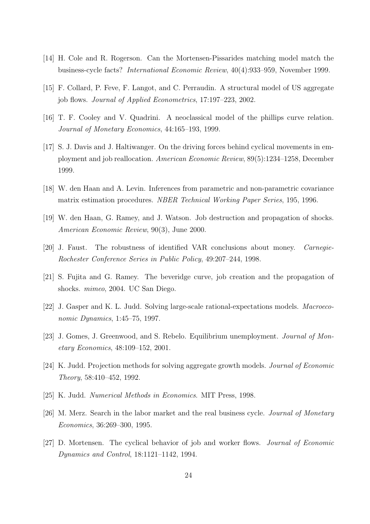- [14] H. Cole and R. Rogerson. Can the Mortensen-Pissarides matching model match the business-cycle facts? International Economic Review, 40(4):933–959, November 1999.
- [15] F. Collard, P. Feve, F. Langot, and C. Perraudin. A structural model of US aggregate job flows. Journal of Applied Econometrics, 17:197–223, 2002.
- [16] T. F. Cooley and V. Quadrini. A neoclassical model of the phillips curve relation. Journal of Monetary Economics, 44:165–193, 1999.
- [17] S. J. Davis and J. Haltiwanger. On the driving forces behind cyclical movements in employment and job reallocation. American Economic Review, 89(5):1234–1258, December 1999.
- [18] W. den Haan and A. Levin. Inferences from parametric and non-parametric covariance matrix estimation procedures. NBER Technical Working Paper Series, 195, 1996.
- [19] W. den Haan, G. Ramey, and J. Watson. Job destruction and propagation of shocks. American Economic Review, 90(3), June 2000.
- [20] J. Faust. The robustness of identified VAR conclusions about money. Carnegie-Rochester Conference Series in Public Policy, 49:207–244, 1998.
- [21] S. Fujita and G. Ramey. The beveridge curve, job creation and the propagation of shocks. mimeo, 2004. UC San Diego.
- [22] J. Gasper and K. L. Judd. Solving large-scale rational-expectations models. Macroeconomic Dynamics, 1:45–75, 1997.
- [23] J. Gomes, J. Greenwood, and S. Rebelo. Equilibrium unemployment. *Journal of Mon*etary Economics, 48:109–152, 2001.
- [24] K. Judd. Projection methods for solving aggregate growth models. Journal of Economic Theory, 58:410–452, 1992.
- [25] K. Judd. Numerical Methods in Economics. MIT Press, 1998.
- [26] M. Merz. Search in the labor market and the real business cycle. Journal of Monetary Economics, 36:269–300, 1995.
- [27] D. Mortensen. The cyclical behavior of job and worker flows. Journal of Economic Dynamics and Control, 18:1121–1142, 1994.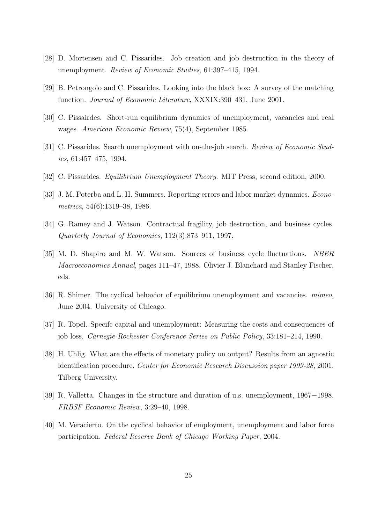- [28] D. Mortensen and C. Pissarides. Job creation and job destruction in the theory of unemployment. Review of Economic Studies, 61:397–415, 1994.
- [29] B. Petrongolo and C. Pissarides. Looking into the black box: A survey of the matching function. Journal of Economic Literature, XXXIX:390–431, June 2001.
- [30] C. Pissairdes. Short-run equilibrium dynamics of unemployment, vacancies and real wages. American Economic Review, 75(4), September 1985.
- [31] C. Pissarides. Search unemployment with on-the-job search. Review of Economic Studies, 61:457–475, 1994.
- [32] C. Pissarides. *Equilibrium Unemployment Theory*. MIT Press, second edition, 2000.
- [33] J. M. Poterba and L. H. Summers. Reporting errors and labor market dynamics. *Econo*metrica, 54(6):1319–38, 1986.
- [34] G. Ramey and J. Watson. Contractual fragility, job destruction, and business cycles. Quarterly Journal of Economics, 112(3):873–911, 1997.
- [35] M. D. Shapiro and M. W. Watson. Sources of business cycle fluctuations. NBER Macroeconomics Annual, pages 111–47, 1988. Olivier J. Blanchard and Stanley Fischer, eds.
- [36] R. Shimer. The cyclical behavior of equilibrium unemployment and vacancies. mimeo, June 2004. University of Chicago.
- [37] R. Topel. Specifc capital and unemployment: Measuring the costs and consequences of job loss. Carnegie-Rochester Conference Series on Public Policy, 33:181–214, 1990.
- [38] H. Uhlig. What are the effects of monetary policy on output? Results from an agnostic identification procedure. Center for Economic Research Discussion paper 1999-28, 2001. Tilberg University.
- [39] R. Valletta. Changes in the structure and duration of u.s. unemployment, 1967−1998. FRBSF Economic Review, 3:29–40, 1998.
- [40] M. Veracierto. On the cyclical behavior of employment, unemployment and labor force participation. Federal Reserve Bank of Chicago Working Paper, 2004.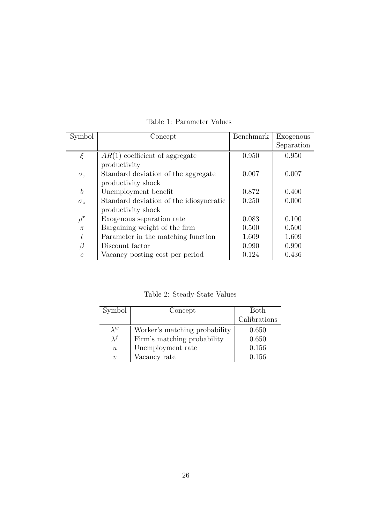| Symbol                 | Concept                                 | Benchmark | Exogenous  |
|------------------------|-----------------------------------------|-----------|------------|
|                        |                                         |           | Separation |
| $\xi$                  | $AR(1)$ coefficient of aggregate        | 0.950     | 0.950      |
|                        | productivity                            |           |            |
| $\sigma_{\varepsilon}$ | Standard deviation of the aggregate     | 0.007     | 0.007      |
|                        | productivity shock                      |           |            |
| $\boldsymbol{b}$       | Unemployment benefit                    | 0.872     | 0.400      |
| $\sigma_z$             | Standard deviation of the idiosyncratic | 0.250     | 0.000      |
|                        | productivity shock                      |           |            |
| $\rho^x$               | Exogenous separation rate               | 0.083     | 0.100      |
| $\pi$                  | Bargaining weight of the firm           | 0.500     | 0.500      |
| l                      | Parameter in the matching function      | 1.609     | 1.609      |
| $\beta$                | Discount factor                         | 0.990     | 0.990      |
| $\overline{c}$         | Vacancy posting cost per period         | 0.124     | 0.436      |

Table 1: Parameter Values

Table 2: Steady-State Values

| Symbol           | Concept                       | Both         |
|------------------|-------------------------------|--------------|
|                  |                               | Calibrations |
| $\lambda^w$      | Worker's matching probability | 0.650        |
| $\lambda^{f}$    | Firm's matching probability   | 0.650        |
| $\boldsymbol{u}$ | Unemployment rate             | 0.156        |
| $\boldsymbol{v}$ | Vacancy rate                  | 0.156        |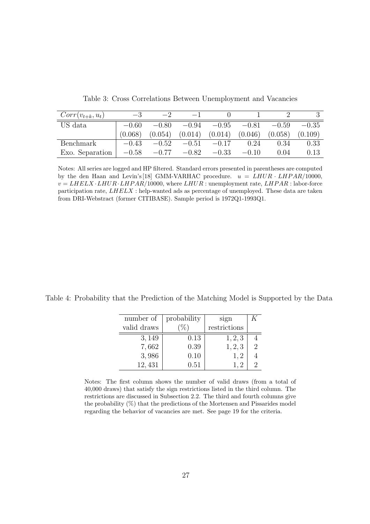| $Corr(v_{t+k}, u_t)$ |         |         |                                         |         |         |         |         |
|----------------------|---------|---------|-----------------------------------------|---------|---------|---------|---------|
| US data              | $-0.60$ | $-0.80$ | $-0.94$                                 | $-0.95$ | $-0.81$ | $-0.59$ | $-0.35$ |
|                      | (0.068) |         | $(0.054)$ $(0.014)$ $(0.014)$ $(0.046)$ |         |         | (0.058) | (0.109) |
| Benchmark            | $-0.43$ | $-0.52$ | $-0.51$                                 | $-0.17$ | 0.24    | 0.34    | 0.33    |
| Exo. Separation      | $-0.58$ | $-0.77$ | $-0.82$                                 | $-0.33$ | $-0.10$ | 0.04    | 0.13    |

Table 3: Cross Correlations Between Unemployment and Vacancies

Notes: All series are logged and HP filtered. Standard errors presented in parentheses are computed by the den Haan and Levin's [18] GMM-VARHAC procedure.  $u = LHUR \cdot LHPAR/10000$ ,  $v = LHELX \cdot LHUR \cdot LHPAR/10000$ , where  $LHUR$ : unemployment rate,  $LHPAR$ : labor-force participation rate,  $LHELX$  : help-wanted ads as percentage of unemployed. These data are taken from DRI-Webstract (former CITIBASE). Sample period is 1972Q1-1993Q1.

Table 4: Probability that the Prediction of the Matching Model is Supported by the Data

| number of   | probability | sign         |               |
|-------------|-------------|--------------|---------------|
| valid draws |             | restrictions |               |
| 3,149       | 0.13        | 1, 2, 3      |               |
| 7,662       | 0.39        | 1, 2, 3      | $\mathcal{D}$ |
| 3,986       | 0.10        | 1, 2         |               |
| 12,431      | 0.51        |              |               |

Notes: The first column shows the number of valid draws (from a total of 40,000 draws) that satisfy the sign restrictions listed in the third column. The restrictions are discussed in Subsection 2.2. The third and fourth columns give the probability (%) that the predictions of the Mortensen and Pissarides model regarding the behavior of vacancies are met. See page 19 for the criteria.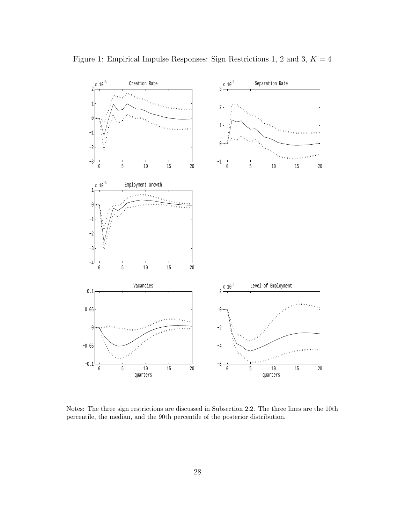

Notes: The three sign restrictions are discussed in Subsection 2.2. The three lines are the 10th percentile, the median, and the 90th percentile of the posterior distribution.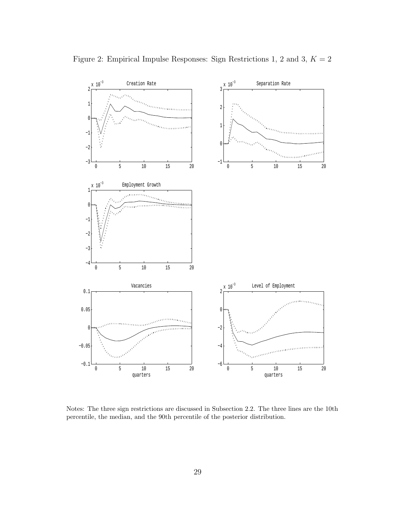

Notes: The three sign restrictions are discussed in Subsection 2.2. The three lines are the 10th percentile, the median, and the 90th percentile of the posterior distribution.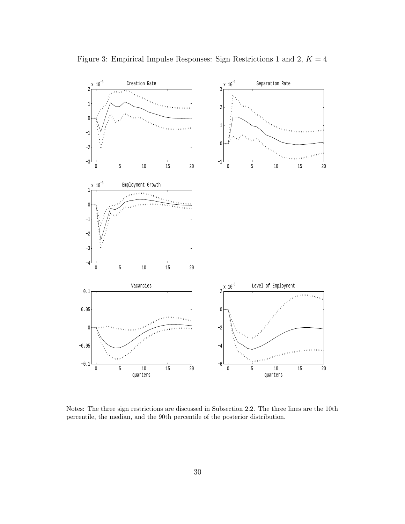

Notes: The three sign restrictions are discussed in Subsection 2.2. The three lines are the 10th percentile, the median, and the 90th percentile of the posterior distribution.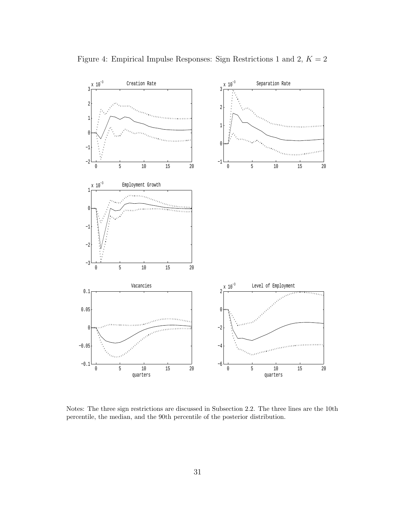

Notes: The three sign restrictions are discussed in Subsection 2.2. The three lines are the 10th percentile, the median, and the 90th percentile of the posterior distribution.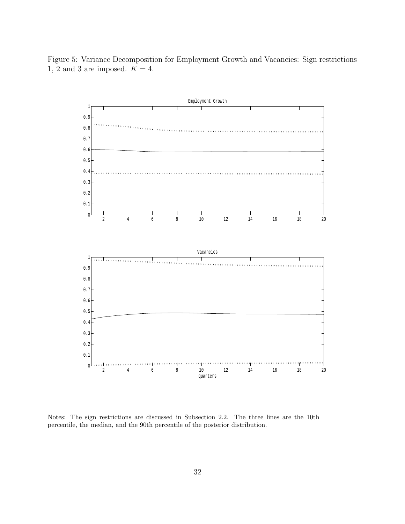Figure 5: Variance Decomposition for Employment Growth and Vacancies: Sign restrictions 1, 2 and 3 are imposed.  $K = 4$ .



Notes: The sign restrictions are discussed in Subsection 2.2. The three lines are the 10th percentile, the median, and the 90th percentile of the posterior distribution.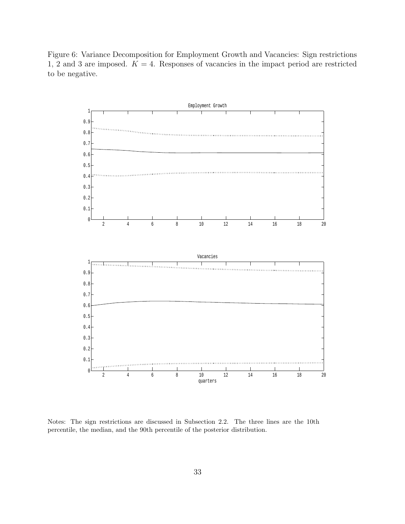Figure 6: Variance Decomposition for Employment Growth and Vacancies: Sign restrictions 1, 2 and 3 are imposed.  $K = 4$ . Responses of vacancies in the impact period are restricted to be negative.

![](_page_35_Figure_1.jpeg)

Notes: The sign restrictions are discussed in Subsection 2.2. The three lines are the 10th percentile, the median, and the 90th percentile of the posterior distribution.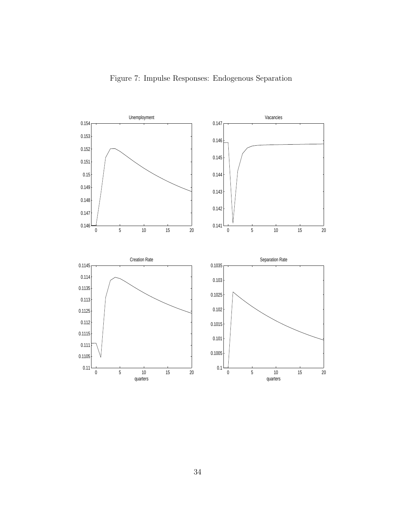![](_page_36_Figure_0.jpeg)

![](_page_36_Figure_1.jpeg)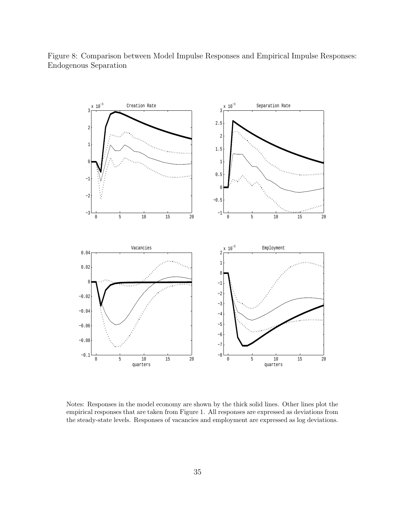![](_page_37_Figure_0.jpeg)

Figure 8: Comparison between Model Impulse Responses and Empirical Impulse Responses: Endogenous Separation

Notes: Responses in the model economy are shown by the thick solid lines. Other lines plot the empirical responses that are taken from Figure 1. All responses are expressed as deviations from the steady-state levels. Responses of vacancies and employment are expressed as log deviations.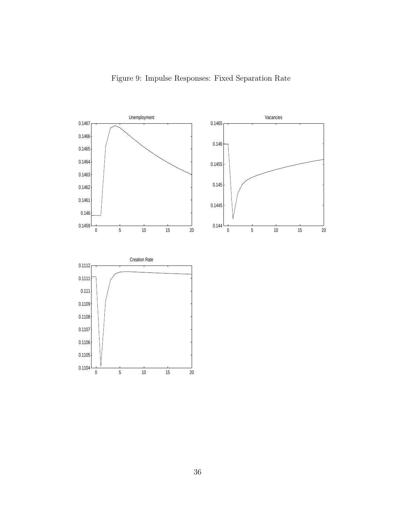![](_page_38_Figure_0.jpeg)

![](_page_38_Figure_1.jpeg)